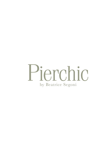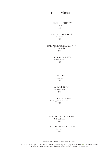### Truffle Menu

UOVO FRITTO <sup>(GF, V)</sup> Fried egg 150

TARTARE DI MANZO<sup>(D)</sup> Beef tartare 260

CARPACCIO DI MANZO (D, GF) Beef carpaccio 240

> BURRATA (D, GF, V) Burrata cheese 190

GNUDI (D, V) Cheese gnocchi 280

TAGLIOLINI<sup>(D, V)</sup> Tagliolini pasta 250

RISOTTO (D, GF, V) Risotto, parmesan cheese 260

FILETTO DI MANZO (D, GF) Beef tenderloin 390

TAGLIATA DI MANZO (D, GF) **Striploin** 400

Should you have any allergies, please inform your waiter.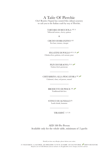# A Taste Of Pierchic

Chef Beatrice Segoni has curated this culinary journey to cast you to the Italian coast by way of Pierchic.

> TARTARE DI RICCIOLA <sup>(GF, A)</sup> Yellowtail tartare, cherry, quinoa

> > &

CRUDO DI BRANZINO (GF) Sea bass, tomato, vinegar

FEGATINI DI POLLO (GF, A, D) Chicken liver, polenta, red currant, pear

> PLIN DI FARAONA<sup>(D, A)</sup> Guinea fowl, parmesan

CHITARRINA ALLA PESCATORA (SF)

Calamari, clam, red prawn, mussel

BRODETTO DI PESCE (SF) Traditional fish stew

STINCO DI AGNELLO (D) Lamb shank, hummus

TIRAMISU<sup>(A, V, D)</sup>

AED 580 Per Person Available only for the whole table, minimum of 2 guests

Should you have any allergies, please inform your waiter.

(V) VEGETARIAN (A) ALCOHOL (SF) SHELLFISH (N) NUTS (D) DAIRY (GF) GLUTEN FREE  $\mathscr{W}$ CHEF'S SIGNATURE All prices are in UAE Dirhams and are inclusive of all applicable service charges, local fees and tax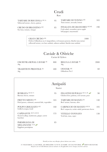#### Crudi

Raw

| TARTARE DI RICCIOLA (GF, A)<br>Yellowtail tartare, cherry, quinoa | 95 | TARTARE DI TONNO (GF)<br>Tuna tartare, avocado, lemon                                                | 165 |
|-------------------------------------------------------------------|----|------------------------------------------------------------------------------------------------------|-----|
| <b>CRUDO DI BRANZINO (GF)</b><br>Sea bass, tomato, vinegar        | 85 | <b>INSALATA DI GRANCHIO (GF, SF)</b><br>Crab salad, cucumber, green apple<br>bell pepper, mayonnaise | 190 |

#### GRAN CRUDO (SF) 2000

Oysters Gillardeau no.2, langoustines, red mazara prawns, bluefin tuna tartare yellowtail tartare, sea bass sashimi, salmon sashimi, bluefin tuna sashimi

# Caviale & Ostriche

Caviar & Oysters

| OSCIETRA ROYAL CAVIAR <sup>(D)</sup><br>30g      | 800 | BELUGA CAVIAR <sup>(D)</sup><br>30g   | 2000 |
|--------------------------------------------------|-----|---------------------------------------|------|
| <b>TRADITION PRESTIGE (D)</b><br>30 <sub>g</sub> | 400 | <b>OYSTER</b> (SF)<br>Gillardeau No.2 | 60   |

| Antipasti<br>Starter                                                             |     |                                                                                    |     |  |
|----------------------------------------------------------------------------------|-----|------------------------------------------------------------------------------------|-----|--|
| <b>BURRATA</b> (GF, D, V)<br>Burrata cheese, tomato                              | 95  | FEGATINI DI POLLO (GF, A, D)<br>Chicken liver, polenta, red currant, pear          | 90  |  |
| FRITTO MISTO (SF)<br>Fried prawn, calamari, assorted fish, vegetables            | 165 | <b>TARTARE DI MANZO (D)</b><br>Beef tartare, burrata, olive                        | 140 |  |
| POLPO GRIGLIATO (GF)<br>Grilled octopus, lentil                                  | 160 | <b>CARPACCIO DI MANZO (GF, D)</b><br>Beef carpaccio, rocket salad, parmesan cheese | 105 |  |
| CAPESANTE (SF, N, GF, D)<br>Seared scallop, mushroom, ginger, carrot<br>hazelnut | 155 | <b>VITELLO TONNATO</b><br>Veal loin, tuna, caper                                   | 130 |  |
| PARMIGIANA DI<br>MELANZANE (V, D)<br>Eggplant parmigiana                         | 85  |                                                                                    |     |  |

Should you have any allergies, please inform your waiter.